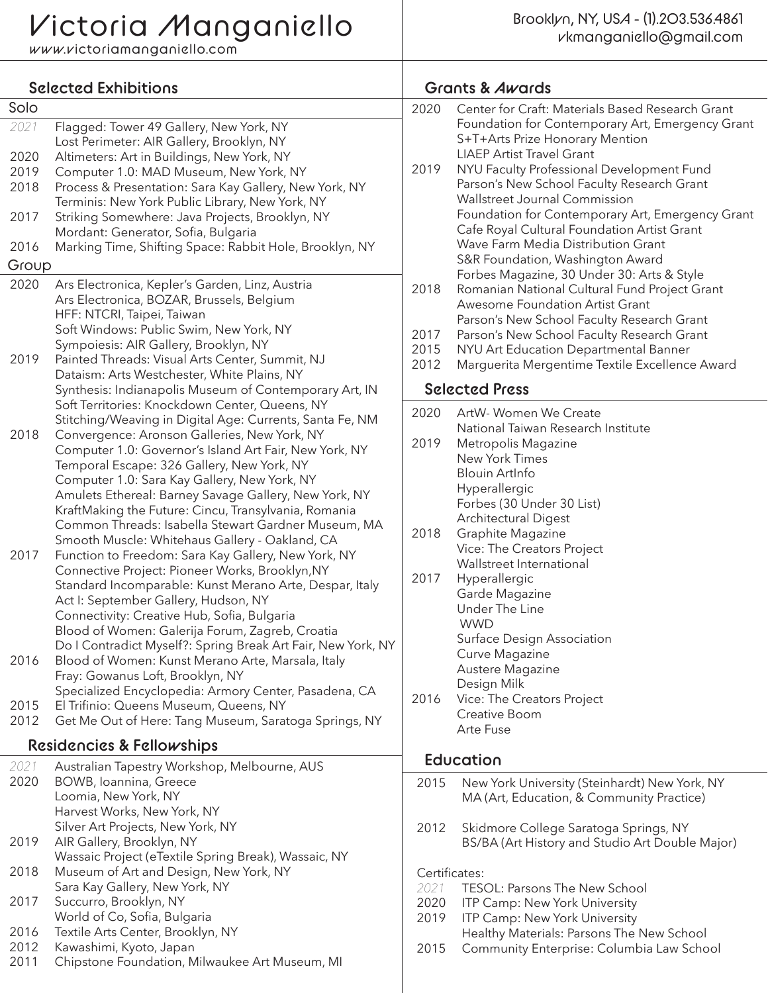www.victoriamanganiello.com

| <b>Selected Exhibitions</b>                                              |                                                                                                                                                                | <b>Grants &amp; Awards</b> |                                                                                                                                   |  |
|--------------------------------------------------------------------------|----------------------------------------------------------------------------------------------------------------------------------------------------------------|----------------------------|-----------------------------------------------------------------------------------------------------------------------------------|--|
| Solo<br>2021                                                             | Flagged: Tower 49 Gallery, New York, NY                                                                                                                        | 2020                       | Center for Craft: Materials Based Research Grant<br>Foundation for Contemporary Art, Emergency Grant                              |  |
| 2020                                                                     | Lost Perimeter: AIR Gallery, Brooklyn, NY<br>Altimeters: Art in Buildings, New York, NY                                                                        | 2019                       | S+T+Arts Prize Honorary Mention<br><b>LIAEP Artist Travel Grant</b><br>NYU Faculty Professional Development Fund                  |  |
| 2019<br>2018                                                             | Computer 1.0: MAD Museum, New York, NY<br>Process & Presentation: Sara Kay Gallery, New York, NY<br>Terminis: New York Public Library, New York, NY            |                            | Parson's New School Faculty Research Grant<br>Wallstreet Journal Commission                                                       |  |
| 2017                                                                     | Striking Somewhere: Java Projects, Brooklyn, NY<br>Mordant: Generator, Sofia, Bulgaria                                                                         |                            | Foundation for Contemporary Art, Emergency Grant<br>Cafe Royal Cultural Foundation Artist Grant                                   |  |
| 2016<br>Marking Time, Shifting Space: Rabbit Hole, Brooklyn, NY<br>Group |                                                                                                                                                                |                            | Wave Farm Media Distribution Grant<br>S&R Foundation, Washington Award<br>Forbes Magazine, 30 Under 30: Arts & Style              |  |
| 2020                                                                     | Ars Electronica, Kepler's Garden, Linz, Austria<br>Ars Electronica, BOZAR, Brussels, Belgium                                                                   | 2018                       | Romanian National Cultural Fund Project Grant<br>Awesome Foundation Artist Grant                                                  |  |
|                                                                          | HFF: NTCRI, Taipei, Taiwan<br>Soft Windows: Public Swim, New York, NY<br>Sympoiesis: AIR Gallery, Brooklyn, NY                                                 | 2017<br>2015               | Parson's New School Faculty Research Grant<br>Parson's New School Faculty Research Grant<br>NYU Art Education Departmental Banner |  |
| 2019                                                                     | Painted Threads: Visual Arts Center, Summit, NJ<br>Dataism: Arts Westchester, White Plains, NY                                                                 | 2012                       | Marguerita Mergentime Textile Excellence Award                                                                                    |  |
|                                                                          | Synthesis: Indianapolis Museum of Contemporary Art, IN<br>Soft Territories: Knockdown Center, Queens, NY                                                       |                            | <b>Selected Press</b>                                                                                                             |  |
| 2018                                                                     | Stitching/Weaving in Digital Age: Currents, Santa Fe, NM<br>Convergence: Aronson Galleries, New York, NY                                                       | 2020                       | ArtW-Women We Create<br>National Taiwan Research Institute                                                                        |  |
|                                                                          | Computer 1.0: Governor's Island Art Fair, New York, NY<br>Temporal Escape: 326 Gallery, New York, NY                                                           | 2019                       | Metropolis Magazine<br>New York Times<br><b>Blouin ArtInfo</b>                                                                    |  |
|                                                                          | Computer 1.0: Sara Kay Gallery, New York, NY<br>Amulets Ethereal: Barney Savage Gallery, New York, NY                                                          |                            | Hyperallergic<br>Forbes (30 Under 30 List)                                                                                        |  |
|                                                                          | KraftMaking the Future: Cincu, Transylvania, Romania<br>Common Threads: Isabella Stewart Gardner Museum, MA<br>Smooth Muscle: Whitehaus Gallery - Oakland, CA  | 2018                       | <b>Architectural Digest</b><br>Graphite Magazine                                                                                  |  |
| 2017                                                                     | Function to Freedom: Sara Kay Gallery, New York, NY<br>Connective Project: Pioneer Works, Brooklyn, NY                                                         |                            | Vice: The Creators Project<br>Wallstreet International                                                                            |  |
|                                                                          | Standard Incomparable: Kunst Merano Arte, Despar, Italy<br>Act I: September Gallery, Hudson, NY                                                                | 2017                       | Hyperallergic<br>Garde Magazine<br>Under The Line                                                                                 |  |
|                                                                          | Connectivity: Creative Hub, Sofia, Bulgaria<br>Blood of Women: Galerija Forum, Zagreb, Croatia<br>Do I Contradict Myself?: Spring Break Art Fair, New York, NY |                            | <b>WWD</b><br>Surface Design Association                                                                                          |  |
| 2016                                                                     | Blood of Women: Kunst Merano Arte, Marsala, Italy<br>Fray: Gowanus Loft, Brooklyn, NY                                                                          |                            | Curve Magazine<br>Austere Magazine                                                                                                |  |
| 2015                                                                     | Specialized Encyclopedia: Armory Center, Pasadena, CA<br>El Trifinio: Queens Museum, Queens, NY                                                                | 2016                       | Design Milk<br>Vice: The Creators Project<br>Creative Boom                                                                        |  |
| 2012                                                                     | Get Me Out of Here: Tang Museum, Saratoga Springs, NY<br>Residencies & Fellowships                                                                             |                            | Arte Fuse                                                                                                                         |  |
| 2021                                                                     | Australian Tapestry Workshop, Melbourne, AUS                                                                                                                   |                            | Education                                                                                                                         |  |
| 2020                                                                     | BOWB, Ioannina, Greece<br>Loomia, New York, NY                                                                                                                 | 2015                       | New York University (Steinhardt) New York, NY<br>MA (Art, Education, & Community Practice)                                        |  |
| 2019                                                                     | Harvest Works, New York, NY<br>Silver Art Projects, New York, NY<br>AIR Gallery, Brooklyn, NY                                                                  | 2012                       | Skidmore College Saratoga Springs, NY<br>BS/BA (Art History and Studio Art Double Major)                                          |  |
| 2018                                                                     | Wassaic Project (eTextile Spring Break), Wassaic, NY<br>Museum of Art and Design, New York, NY                                                                 | Certificates:              |                                                                                                                                   |  |
| 2017                                                                     | Sara Kay Gallery, New York, NY<br>Succurro, Brooklyn, NY                                                                                                       | 2021<br>2020               | TESOL: Parsons The New School<br>ITP Camp: New York University                                                                    |  |
| 2016<br>2012                                                             | World of Co, Sofia, Bulgaria<br>Textile Arts Center, Brooklyn, NY                                                                                              | 2019                       | ITP Camp: New York University<br>Healthy Materials: Parsons The New School                                                        |  |
| 2011                                                                     | Kawashimi, Kyoto, Japan<br>Chipstone Foundation, Milwaukee Art Museum, MI                                                                                      | 2015                       | Community Enterprise: Columbia Law School                                                                                         |  |
|                                                                          |                                                                                                                                                                |                            |                                                                                                                                   |  |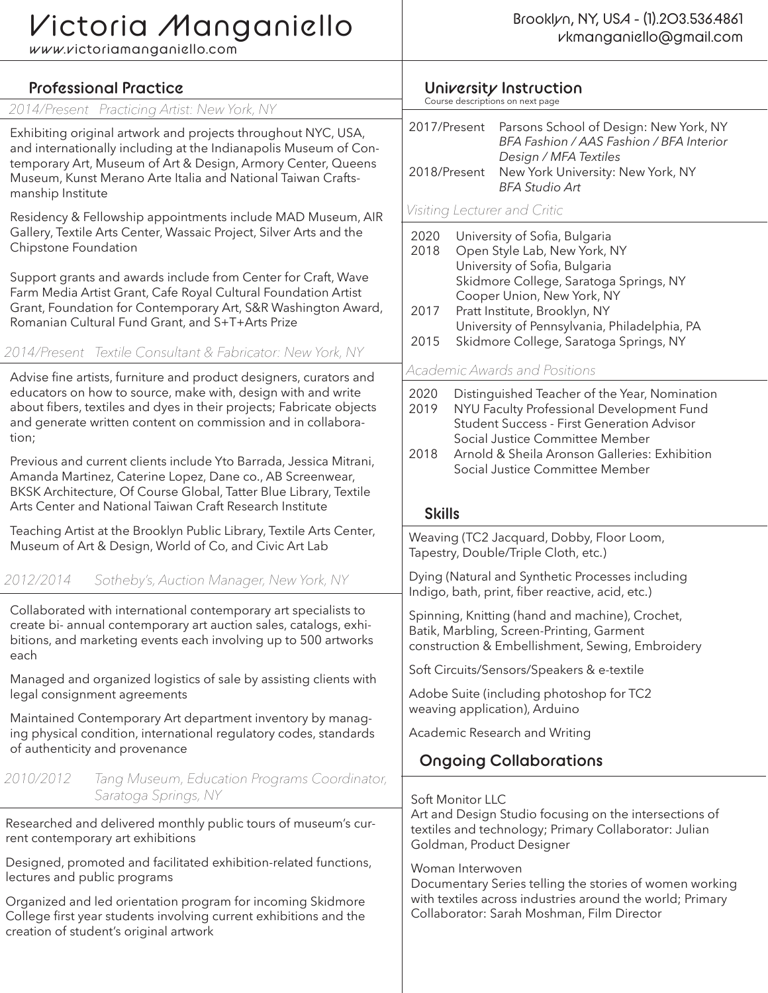## Victoria Manganiello

www.victoriamanganiello.com

| <b>Professional Practice</b>                                                                                                                                                                                                                                                                                                                                                                                                                                                                                                                                                                                                                                                                                                                                                                                                                                                                                                                                                                                                               | University Instruction<br>Course descriptions on next page                                                                                                                                                                                                                                                                                                                                                                                                                                                                                                                                                                                                                                                                   |  |  |
|--------------------------------------------------------------------------------------------------------------------------------------------------------------------------------------------------------------------------------------------------------------------------------------------------------------------------------------------------------------------------------------------------------------------------------------------------------------------------------------------------------------------------------------------------------------------------------------------------------------------------------------------------------------------------------------------------------------------------------------------------------------------------------------------------------------------------------------------------------------------------------------------------------------------------------------------------------------------------------------------------------------------------------------------|------------------------------------------------------------------------------------------------------------------------------------------------------------------------------------------------------------------------------------------------------------------------------------------------------------------------------------------------------------------------------------------------------------------------------------------------------------------------------------------------------------------------------------------------------------------------------------------------------------------------------------------------------------------------------------------------------------------------------|--|--|
| 2014/Present Practicing Artist: New York, NY                                                                                                                                                                                                                                                                                                                                                                                                                                                                                                                                                                                                                                                                                                                                                                                                                                                                                                                                                                                               |                                                                                                                                                                                                                                                                                                                                                                                                                                                                                                                                                                                                                                                                                                                              |  |  |
| Exhibiting original artwork and projects throughout NYC, USA,<br>and internationally including at the Indianapolis Museum of Con-<br>temporary Art, Museum of Art & Design, Armory Center, Queens<br>Museum, Kunst Merano Arte Italia and National Taiwan Crafts-<br>manship Institute                                                                                                                                                                                                                                                                                                                                                                                                                                                                                                                                                                                                                                                                                                                                                     | 2017/Present<br>Parsons School of Design: New York, NY<br>BFA Fashion / AAS Fashion / BFA Interior<br>Design / MFA Textiles<br>New York University: New York, NY<br>2018/Present<br><b>BFA Studio Art</b>                                                                                                                                                                                                                                                                                                                                                                                                                                                                                                                    |  |  |
| Residency & Fellowship appointments include MAD Museum, AIR<br>Gallery, Textile Arts Center, Wassaic Project, Silver Arts and the<br>Chipstone Foundation<br>Support grants and awards include from Center for Craft, Wave<br>Farm Media Artist Grant, Cafe Royal Cultural Foundation Artist<br>Grant, Foundation for Contemporary Art, S&R Washington Award,<br>Romanian Cultural Fund Grant, and S+T+Arts Prize<br>2014/Present Textile Consultant & Fabricator: New York, NY<br>Advise fine artists, furniture and product designers, curators and<br>educators on how to source, make with, design with and write<br>about fibers, textiles and dyes in their projects; Fabricate objects<br>and generate written content on commission and in collabora-<br>tion;<br>Previous and current clients include Yto Barrada, Jessica Mitrani,<br>Amanda Martinez, Caterine Lopez, Dane co., AB Screenwear,<br>BKSK Architecture, Of Course Global, Tatter Blue Library, Textile<br>Arts Center and National Taiwan Craft Research Institute | Visiting Lecturer and Critic<br>2020<br>University of Sofia, Bulgaria<br>2018<br>Open Style Lab, New York, NY<br>University of Sofia, Bulgaria<br>Skidmore College, Saratoga Springs, NY<br>Cooper Union, New York, NY<br>Pratt Institute, Brooklyn, NY<br>2017<br>University of Pennsylvania, Philadelphia, PA<br>Skidmore College, Saratoga Springs, NY<br>2015<br><b>Academic Awards and Positions</b><br>2020<br>Distinguished Teacher of the Year, Nomination<br>2019<br>NYU Faculty Professional Development Fund<br><b>Student Success - First Generation Advisor</b><br>Social Justice Committee Member<br>Arnold & Sheila Aronson Galleries: Exhibition<br>2018<br>Social Justice Committee Member<br><b>Skills</b> |  |  |
| Teaching Artist at the Brooklyn Public Library, Textile Arts Center,                                                                                                                                                                                                                                                                                                                                                                                                                                                                                                                                                                                                                                                                                                                                                                                                                                                                                                                                                                       | Weaving (TC2 Jacquard, Dobby, Floor Loom,<br>Tapestry, Double/Triple Cloth, etc.)<br>Dying (Natural and Synthetic Processes including<br>Indigo, bath, print, fiber reactive, acid, etc.)                                                                                                                                                                                                                                                                                                                                                                                                                                                                                                                                    |  |  |
| Museum of Art & Design, World of Co, and Civic Art Lab                                                                                                                                                                                                                                                                                                                                                                                                                                                                                                                                                                                                                                                                                                                                                                                                                                                                                                                                                                                     |                                                                                                                                                                                                                                                                                                                                                                                                                                                                                                                                                                                                                                                                                                                              |  |  |
| 2012/2014<br>Sotheby's, Auction Manager, New York, NY                                                                                                                                                                                                                                                                                                                                                                                                                                                                                                                                                                                                                                                                                                                                                                                                                                                                                                                                                                                      |                                                                                                                                                                                                                                                                                                                                                                                                                                                                                                                                                                                                                                                                                                                              |  |  |
| Collaborated with international contemporary art specialists to<br>create bi- annual contemporary art auction sales, catalogs, exhi-<br>bitions, and marketing events each involving up to 500 artworks<br>each                                                                                                                                                                                                                                                                                                                                                                                                                                                                                                                                                                                                                                                                                                                                                                                                                            | Spinning, Knitting (hand and machine), Crochet,<br>Batik, Marbling, Screen-Printing, Garment<br>construction & Embellishment, Sewing, Embroidery<br>Soft Circuits/Sensors/Speakers & e-textile<br>Adobe Suite (including photoshop for TC2                                                                                                                                                                                                                                                                                                                                                                                                                                                                                   |  |  |
| Managed and organized logistics of sale by assisting clients with<br>legal consignment agreements                                                                                                                                                                                                                                                                                                                                                                                                                                                                                                                                                                                                                                                                                                                                                                                                                                                                                                                                          |                                                                                                                                                                                                                                                                                                                                                                                                                                                                                                                                                                                                                                                                                                                              |  |  |
| Maintained Contemporary Art department inventory by manag-                                                                                                                                                                                                                                                                                                                                                                                                                                                                                                                                                                                                                                                                                                                                                                                                                                                                                                                                                                                 | weaving application), Arduino                                                                                                                                                                                                                                                                                                                                                                                                                                                                                                                                                                                                                                                                                                |  |  |
| ing physical condition, international regulatory codes, standards                                                                                                                                                                                                                                                                                                                                                                                                                                                                                                                                                                                                                                                                                                                                                                                                                                                                                                                                                                          | Academic Research and Writing                                                                                                                                                                                                                                                                                                                                                                                                                                                                                                                                                                                                                                                                                                |  |  |
| of authenticity and provenance                                                                                                                                                                                                                                                                                                                                                                                                                                                                                                                                                                                                                                                                                                                                                                                                                                                                                                                                                                                                             | <b>Ongoing Collaborations</b>                                                                                                                                                                                                                                                                                                                                                                                                                                                                                                                                                                                                                                                                                                |  |  |
| 2010/2012<br>Tang Museum, Education Programs Coordinator,<br>Saratoga Springs, NY                                                                                                                                                                                                                                                                                                                                                                                                                                                                                                                                                                                                                                                                                                                                                                                                                                                                                                                                                          | Soft Monitor LLC                                                                                                                                                                                                                                                                                                                                                                                                                                                                                                                                                                                                                                                                                                             |  |  |
| Researched and delivered monthly public tours of museum's cur-<br>rent contemporary art exhibitions                                                                                                                                                                                                                                                                                                                                                                                                                                                                                                                                                                                                                                                                                                                                                                                                                                                                                                                                        | Art and Design Studio focusing on the intersections of<br>textiles and technology; Primary Collaborator: Julian<br>Goldman, Product Designer                                                                                                                                                                                                                                                                                                                                                                                                                                                                                                                                                                                 |  |  |
| Designed, promoted and facilitated exhibition-related functions,<br>lectures and public programs                                                                                                                                                                                                                                                                                                                                                                                                                                                                                                                                                                                                                                                                                                                                                                                                                                                                                                                                           | Woman Interwoven<br>Documentary Series telling the stories of women working                                                                                                                                                                                                                                                                                                                                                                                                                                                                                                                                                                                                                                                  |  |  |
| Organized and led orientation program for incoming Skidmore<br>College first year students involving current exhibitions and the<br>creation of student's original artwork                                                                                                                                                                                                                                                                                                                                                                                                                                                                                                                                                                                                                                                                                                                                                                                                                                                                 | with textiles across industries around the world; Primary<br>Collaborator: Sarah Moshman, Film Director                                                                                                                                                                                                                                                                                                                                                                                                                                                                                                                                                                                                                      |  |  |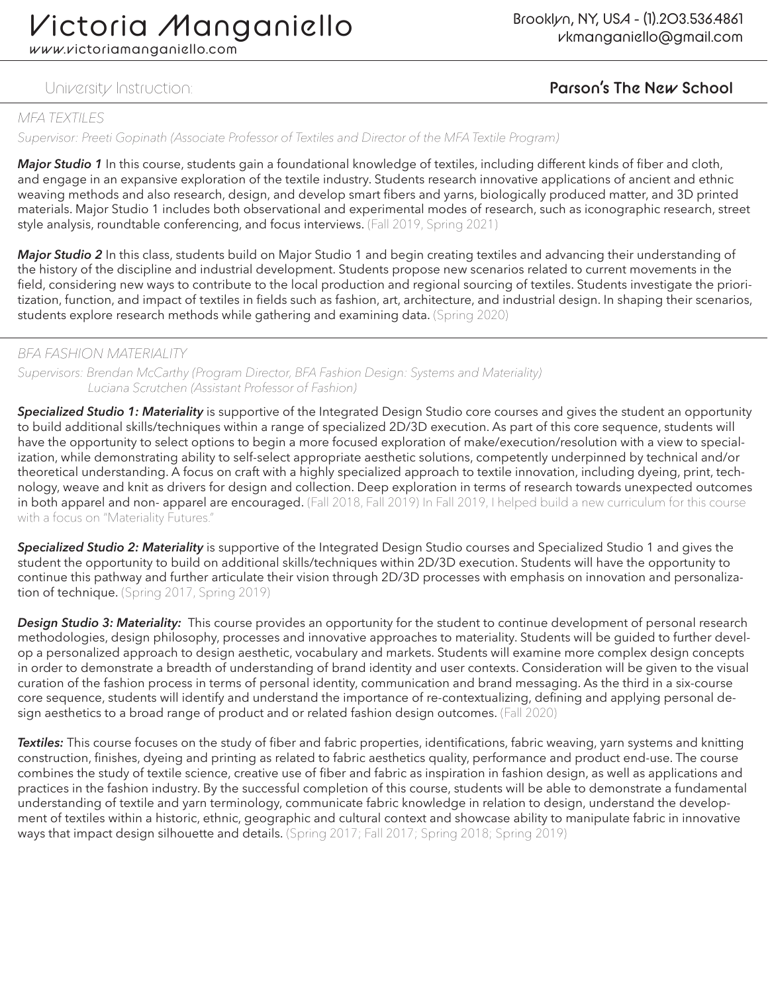www.victoriamanganiello.com

## University Instruction: **Parson's The New School**

#### *MFA TEXTILES*

*Supervisor: Preeti Gopinath (Associate Professor of Textiles and Director of the MFA Textile Program)*

*Major Studio 1* In this course, students gain a foundational knowledge of textiles, including different kinds of fiber and cloth, and engage in an expansive exploration of the textile industry. Students research innovative applications of ancient and ethnic weaving methods and also research, design, and develop smart fibers and yarns, biologically produced matter, and 3D printed materials. Major Studio 1 includes both observational and experimental modes of research, such as iconographic research, street style analysis, roundtable conferencing, and focus interviews. (Fall 2019, Spring 2021)

*Major Studio 2* In this class, students build on Major Studio 1 and begin creating textiles and advancing their understanding of the history of the discipline and industrial development. Students propose new scenarios related to current movements in the field, considering new ways to contribute to the local production and regional sourcing of textiles. Students investigate the prioritization, function, and impact of textiles in fields such as fashion, art, architecture, and industrial design. In shaping their scenarios, students explore research methods while gathering and examining data. (Spring 2020)

#### *BFA FASHION MATERIALITY*

*Supervisors: Brendan McCarthy (Program Director, BFA Fashion Design: Systems and Materiality) Luciana Scrutchen (Assistant Professor of Fashion)*

*Specialized Studio 1: Materiality* is supportive of the Integrated Design Studio core courses and gives the student an opportunity to build additional skills/techniques within a range of specialized 2D/3D execution. As part of this core sequence, students will have the opportunity to select options to begin a more focused exploration of make/execution/resolution with a view to specialization, while demonstrating ability to self-select appropriate aesthetic solutions, competently underpinned by technical and/or theoretical understanding. A focus on craft with a highly specialized approach to textile innovation, including dyeing, print, technology, weave and knit as drivers for design and collection. Deep exploration in terms of research towards unexpected outcomes in both apparel and non- apparel are encouraged. (Fall 2018, Fall 2019) In Fall 2019, I helped build a new curriculum for this course with a focus on "Materiality Futures."

*Specialized Studio 2: Materiality* is supportive of the Integrated Design Studio courses and Specialized Studio 1 and gives the student the opportunity to build on additional skills/techniques within 2D/3D execution. Students will have the opportunity to continue this pathway and further articulate their vision through 2D/3D processes with emphasis on innovation and personalization of technique. (Spring 2017, Spring 2019)

*Design Studio 3: Materiality:* This course provides an opportunity for the student to continue development of personal research methodologies, design philosophy, processes and innovative approaches to materiality. Students will be guided to further develop a personalized approach to design aesthetic, vocabulary and markets. Students will examine more complex design concepts in order to demonstrate a breadth of understanding of brand identity and user contexts. Consideration will be given to the visual curation of the fashion process in terms of personal identity, communication and brand messaging. As the third in a six-course core sequence, students will identify and understand the importance of re-contextualizing, defining and applying personal design aesthetics to a broad range of product and or related fashion design outcomes. (Fall 2020)

*Textiles:* This course focuses on the study of fiber and fabric properties, identifications, fabric weaving, yarn systems and knitting construction, finishes, dyeing and printing as related to fabric aesthetics quality, performance and product end-use. The course combines the study of textile science, creative use of fiber and fabric as inspiration in fashion design, as well as applications and practices in the fashion industry. By the successful completion of this course, students will be able to demonstrate a fundamental understanding of textile and yarn terminology, communicate fabric knowledge in relation to design, understand the development of textiles within a historic, ethnic, geographic and cultural context and showcase ability to manipulate fabric in innovative ways that impact design silhouette and details. (Spring 2017; Fall 2017; Spring 2018; Spring 2019)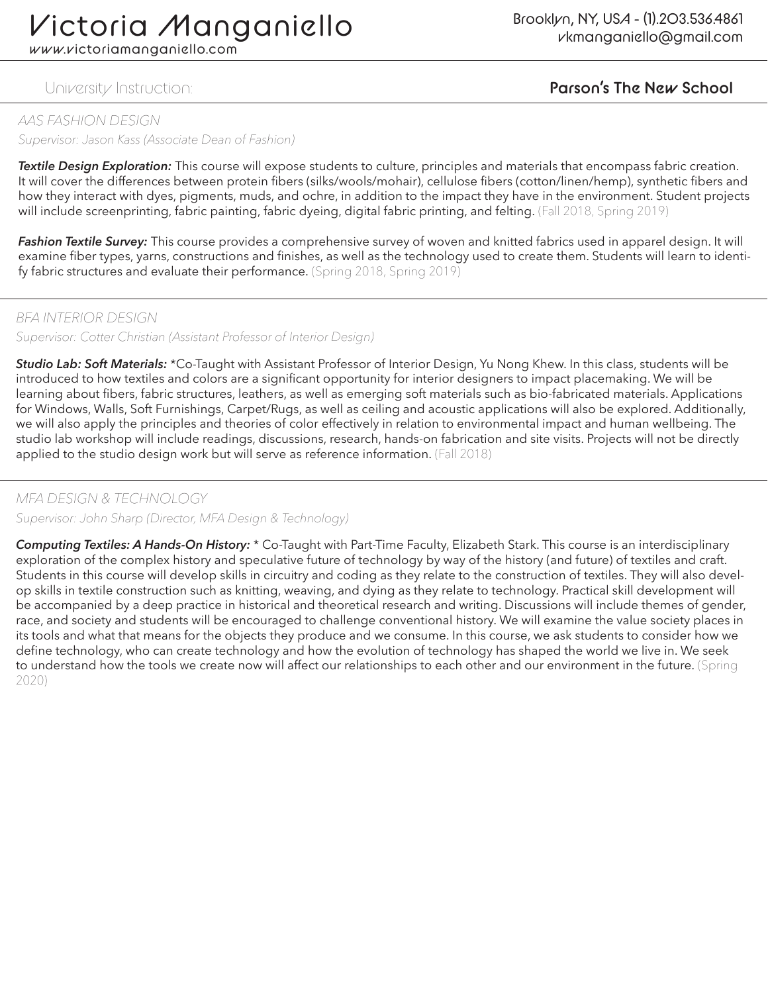www.victoriamanganiello.com

#### *AAS FASHION DESIGN*

*Supervisor: Jason Kass (Associate Dean of Fashion)*

*Textile Design Exploration:* This course will expose students to culture, principles and materials that encompass fabric creation. It will cover the differences between protein fibers (silks/wools/mohair), cellulose fibers (cotton/linen/hemp), synthetic fibers and how they interact with dyes, pigments, muds, and ochre, in addition to the impact they have in the environment. Student projects will include screenprinting, fabric painting, fabric dyeing, digital fabric printing, and felting. (Fall 2018, Spring 2019)

*Fashion Textile Survey:* This course provides a comprehensive survey of woven and knitted fabrics used in apparel design. It will examine fiber types, yarns, constructions and finishes, as well as the technology used to create them. Students will learn to identify fabric structures and evaluate their performance. (Spring 2018, Spring 2019)

#### *BFA INTERIOR DESIGN*

*Supervisor: Cotter Christian (Assistant Professor of Interior Design)*

*Studio Lab: Soft Materials:* \*Co-Taught with Assistant Professor of Interior Design, Yu Nong Khew. In this class, students will be introduced to how textiles and colors are a significant opportunity for interior designers to impact placemaking. We will be learning about fibers, fabric structures, leathers, as well as emerging soft materials such as bio-fabricated materials. Applications for Windows, Walls, Soft Furnishings, Carpet/Rugs, as well as ceiling and acoustic applications will also be explored. Additionally, we will also apply the principles and theories of color effectively in relation to environmental impact and human wellbeing. The studio lab workshop will include readings, discussions, research, hands-on fabrication and site visits. Projects will not be directly applied to the studio design work but will serve as reference information. (Fall 2018)

#### *MFA DESIGN & TECHNOLOGY*

*Supervisor: John Sharp (Director, MFA Design & Technology)*

*Computing Textiles: A Hands-On History:* \* Co-Taught with Part-Time Faculty, Elizabeth Stark. This course is an interdisciplinary exploration of the complex history and speculative future of technology by way of the history (and future) of textiles and craft. Students in this course will develop skills in circuitry and coding as they relate to the construction of textiles. They will also develop skills in textile construction such as knitting, weaving, and dying as they relate to technology. Practical skill development will be accompanied by a deep practice in historical and theoretical research and writing. Discussions will include themes of gender, race, and society and students will be encouraged to challenge conventional history. We will examine the value society places in its tools and what that means for the objects they produce and we consume. In this course, we ask students to consider how we define technology, who can create technology and how the evolution of technology has shaped the world we live in. We seek to understand how the tools we create now will affect our relationships to each other and our environment in the future. (Spring 2020)

## University Instruction: **Parson's The New School**